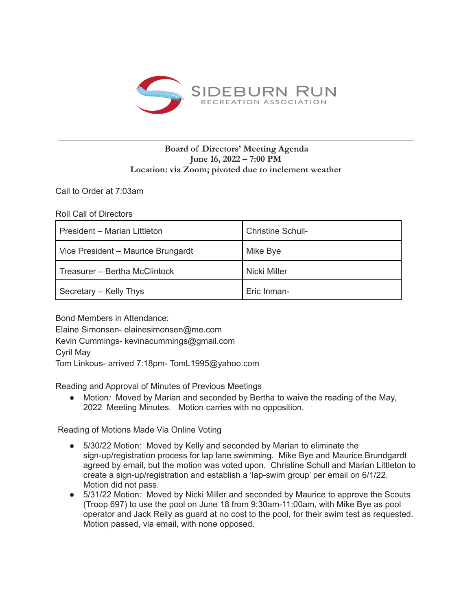

## **Board of Directors' Meeting Agenda June 16, 2022 – 7:00 PM Location: via Zoom; pivoted due to inclement weather**

Call to Order at 7:03am

Roll Call of Directors

| President - Marian Littleton       | <b>Christine Schull-</b> |
|------------------------------------|--------------------------|
| Vice President - Maurice Brungardt | Mike Bye                 |
| Treasurer - Bertha McClintock      | Nicki Miller             |
| Secretary – Kelly Thys             | Eric Inman-              |

Bond Members in Attendance:

Elaine Simonsen- elainesimonsen@me.com Kevin Cummings- kevinacummings@gmail.com Cyril May Tom Linkous- arrived 7:18pm- TomL1995@yahoo.com

Reading and Approval of Minutes of Previous Meetings

● Motion*:* Moved by Marian and seconded by Bertha to waive the reading of the May, 2022 Meeting Minutes. Motion carries with no opposition.

Reading of Motions Made Via Online Voting

- 5/30/22 Motion: Moved by Kelly and seconded by Marian to eliminate the sign-up/registration process for lap lane swimming. Mike Bye and Maurice Brundgardt agreed by email, but the motion was voted upon. Christine Schull and Marian Littleton to create a sign-up/registration and establish a 'lap-swim group' per email on 6/1/22. Motion did not pass.
- 5/31/22 Motion*:* Moved by Nicki Miller and seconded by Maurice to approve the Scouts (Troop 697) to use the pool on June 18 from 9:30am-11:00am, with Mike Bye as pool operator and Jack Reily as guard at no cost to the pool, for their swim test as requested. Motion passed, via email, with none opposed.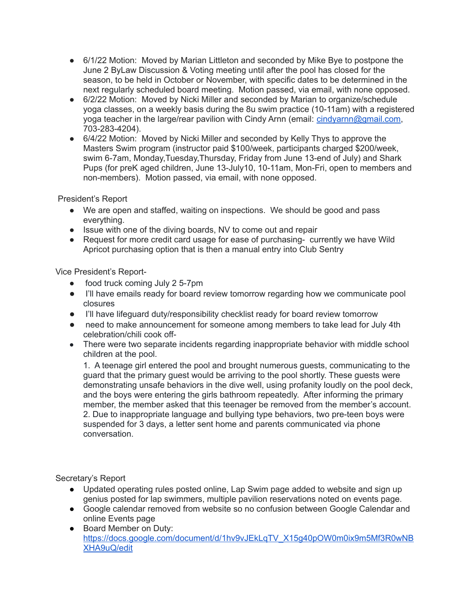- 6/1/22 Motion: Moved by Marian Littleton and seconded by Mike Bye to postpone the June 2 ByLaw Discussion & Voting meeting until after the pool has closed for the season, to be held in October or November, with specific dates to be determined in the next regularly scheduled board meeting. Motion passed, via email, with none opposed.
- 6/2/22 Motion: Moved by Nicki Miller and seconded by Marian to organize/schedule yoga classes, on a weekly basis during the 8u swim practice (10-11am) with a registered yoga teacher in the large/rear pavilion with Cindy Arnn (email: [cindyarnn@gmail.com,](mailto:cindyarnn@gmail.com) 703-283-4204).
- 6/4/22 Motion: Moved by Nicki Miller and seconded by Kelly Thys to approve the Masters Swim program (instructor paid \$100/week, participants charged \$200/week, swim 6-7am, Monday,Tuesday,Thursday, Friday from June 13-end of July) and Shark Pups (for preK aged children, June 13-July10, 10-11am, Mon-Fri, open to members and non-members). Motion passed, via email, with none opposed.

President's Report

- We are open and staffed, waiting on inspections. We should be good and pass everything.
- Issue with one of the diving boards, NV to come out and repair
- Request for more credit card usage for ease of purchasing- currently we have Wild Apricot purchasing option that is then a manual entry into Club Sentry

Vice President's Report-

- food truck coming July 2 5-7pm
- I'll have emails ready for board review tomorrow regarding how we communicate pool closures
- I'll have lifeguard duty/responsibility checklist ready for board review tomorrow
- need to make announcement for someone among members to take lead for July 4th celebration/chili cook off-
- There were two separate incidents regarding inappropriate behavior with middle school children at the pool.

1. A teenage girl entered the pool and brought numerous guests, communicating to the guard that the primary guest would be arriving to the pool shortly. These guests were demonstrating unsafe behaviors in the dive well, using profanity loudly on the pool deck, and the boys were entering the girls bathroom repeatedly. After informing the primary member, the member asked that this teenager be removed from the member's account. 2. Due to inappropriate language and bullying type behaviors, two pre-teen boys were suspended for 3 days, a letter sent home and parents communicated via phone conversation.

Secretary's Report

- Updated operating rules posted online, Lap Swim page added to website and sign up genius posted for lap swimmers, multiple pavilion reservations noted on events page.
- Google calendar removed from website so no confusion between Google Calendar and online Events page
- Board Member on Duty: [https://docs.google.com/document/d/1hv9vJEkLqTV\\_X15g40pOW0m0ix9m5Mf3R0wNB](https://docs.google.com/document/d/1hv9vJEkLqTV_X15g40pOW0m0ix9m5Mf3R0wNBXHA9uQ/edit) [XHA9uQ/edit](https://docs.google.com/document/d/1hv9vJEkLqTV_X15g40pOW0m0ix9m5Mf3R0wNBXHA9uQ/edit)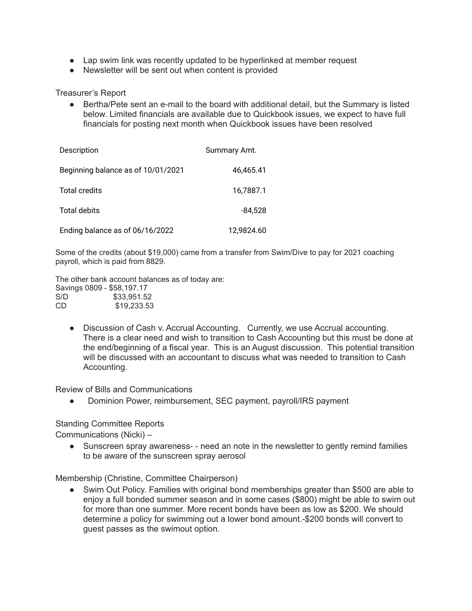- Lap swim link was recently updated to be hyperlinked at member request
- Newsletter will be sent out when content is provided

Treasurer's Report

● Bertha/Pete sent an e-mail to the board with additional detail, but the Summary is listed below. Limited financials are available due to Quickbook issues, we expect to have full financials for posting next month when Quickbook issues have been resolved

| Description                        | Summary Amt. |
|------------------------------------|--------------|
| Beginning balance as of 10/01/2021 | 46,465.41    |
| <b>Total credits</b>               | 16,7887.1    |
| <b>Total debits</b>                | $-84,528$    |
| Ending balance as of 06/16/2022    | 12.9824.60   |

Some of the credits (about \$19,000) came from a transfer from Swim/Dive to pay for 2021 coaching payroll, which is paid from 8829.

The other bank account balances as of today are: Savings 0809 - \$58,197.17 S/D \$33,951.52 CD \$19,233.53

● Discussion of Cash v. Accrual Accounting. Currently, we use Accrual accounting. There is a clear need and wish to transition to Cash Accounting but this must be done at the end/beginning of a fiscal year. This is an August discussion. This potential transition will be discussed with an accountant to discuss what was needed to transition to Cash Accounting.

Review of Bills and Communications

• Dominion Power, reimbursement, SEC payment, payroll/IRS payment

## Standing Committee Reports

Communications (Nicki) –

• Sunscreen spray awareness- - need an note in the newsletter to gently remind families to be aware of the sunscreen spray aerosol

Membership (Christine, Committee Chairperson)

• Swim Out Policy. Families with original bond memberships greater than \$500 are able to enjoy a full bonded summer season and in some cases (\$800) might be able to swim out for more than one summer. More recent bonds have been as low as \$200. We should determine a policy for swimming out a lower bond amount.-\$200 bonds will convert to guest passes as the swimout option.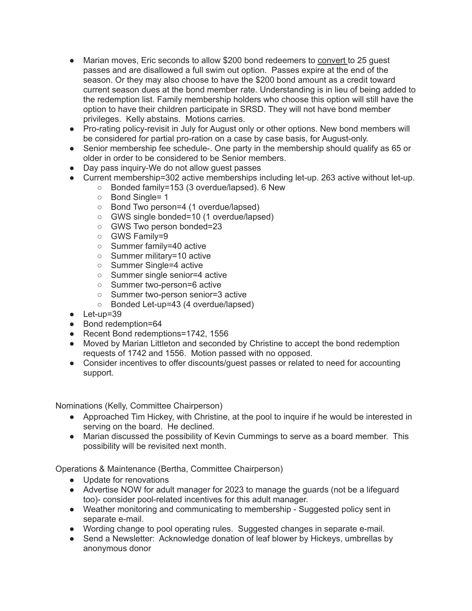- Marian moves, Eric seconds to allow \$200 bond redeemers to convert to 25 quest passes and are disallowed a full swim out option. Passes expire at the end of the season. Or they may also choose to have the \$200 bond amount as a credit toward current season dues at the bond member rate. Understanding is in lieu of being added to the redemption list. Family membership holders who choose this option will still have the option to have their children participate in SRSD. They will not have bond member privileges. Kelly abstains. Motions carries.
- Pro-rating policy-revisit in July for August only or other options. New bond members will be considered for partial pro-ration on a case by case basis, for August-only.
- Senior membership fee schedule-. One party in the membership should qualify as 65 or older in order to be considered to be Senior members.
- Day pass inquiry-We do not allow quest passes
- Current membership=302 active memberships including let-up. 263 active without let-up.
	- Bonded family=153 (3 overdue/lapsed). 6 New
		- Bond Single= 1
		- Bond Two person=4 (1 overdue/lapsed)
		- GWS single bonded=10 (1 overdue/lapsed)
		- GWS Two person bonded=23
		- GWS Family=9
		- Summer family=40 active
		- Summer military=10 active
		- Summer Single=4 active
		- Summer single senior=4 active
		- Summer two-person=6 active
		- Summer two-person senior=3 active
		- Bonded Let-up=43 (4 overdue/lapsed)
- Let-up=39
- Bond redemption=64
- Recent Bond redemptions=1742, 1556
- Moved by Marian Littleton and seconded by Christine to accept the bond redemption requests of 1742 and 1556. Motion passed with no opposed.
- Consider incentives to offer discounts/guest passes or related to need for accounting support.

Nominations (Kelly, Committee Chairperson)

- Approached Tim Hickey, with Christine, at the pool to inquire if he would be interested in serving on the board. He declined.
- Marian discussed the possibility of Kevin Cummings to serve as a board member. This possibility will be revisited next month.

Operations & Maintenance (Bertha, Committee Chairperson)

- Update for renovations
- Advertise NOW for adult manager for 2023 to manage the guards (not be a lifeguard too)- consider pool-related incentives for this adult manager.
- Weather monitoring and communicating to membership Suggested policy sent in separate e-mail.
- Wording change to pool operating rules. Suggested changes in separate e-mail.
- Send a Newsletter: Acknowledge donation of leaf blower by Hickeys, umbrellas by anonymous donor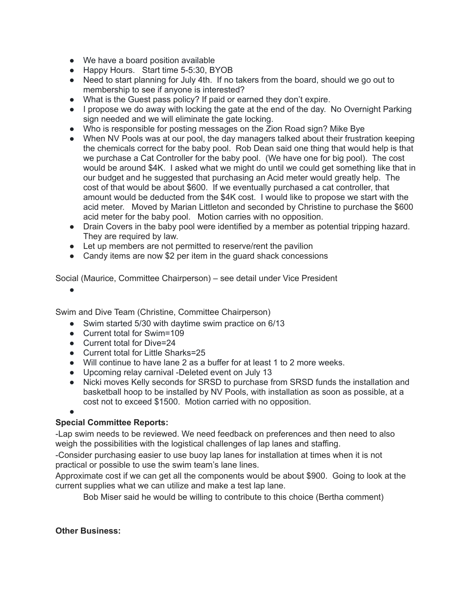- We have a board position available
- Happy Hours. Start time 5-5:30, BYOB
- Need to start planning for July 4th. If no takers from the board, should we go out to membership to see if anyone is interested?
- What is the Guest pass policy? If paid or earned they don't expire.
- I propose we do away with locking the gate at the end of the day. No Overnight Parking sign needed and we will eliminate the gate locking.
- Who is responsible for posting messages on the Zion Road sign? Mike Bye
- When NV Pools was at our pool, the day managers talked about their frustration keeping the chemicals correct for the baby pool. Rob Dean said one thing that would help is that we purchase a Cat Controller for the baby pool. (We have one for big pool). The cost would be around \$4K. I asked what we might do until we could get something like that in our budget and he suggested that purchasing an Acid meter would greatly help. The cost of that would be about \$600. If we eventually purchased a cat controller, that amount would be deducted from the \$4K cost. I would like to propose we start with the acid meter. Moved by Marian Littleton and seconded by Christine to purchase the \$600 acid meter for the baby pool. Motion carries with no opposition.
- Drain Covers in the baby pool were identified by a member as potential tripping hazard. They are required by law.
- Let up members are not permitted to reserve/rent the pavilion
- Candy items are now \$2 per item in the guard shack concessions

Social (Maurice, Committee Chairperson) – see detail under Vice President

●

Swim and Dive Team (Christine, Committee Chairperson)

- Swim started 5/30 with daytime swim practice on 6/13
- Current total for Swim=109
- Current total for Dive=24
- Current total for Little Sharks=25
- Will continue to have lane 2 as a buffer for at least 1 to 2 more weeks.
- Upcoming relay carnival -Deleted event on July 13
- Nicki moves Kelly seconds for SRSD to purchase from SRSD funds the installation and basketball hoop to be installed by NV Pools, with installation as soon as possible, at a cost not to exceed \$1500. Motion carried with no opposition.

●

## **Special Committee Reports:**

-Lap swim needs to be reviewed. We need feedback on preferences and then need to also weigh the possibilities with the logistical challenges of lap lanes and staffing.

-Consider purchasing easier to use buoy lap lanes for installation at times when it is not practical or possible to use the swim team's lane lines.

Approximate cost if we can get all the components would be about \$900. Going to look at the current supplies what we can utilize and make a test lap lane.

Bob Miser said he would be willing to contribute to this choice (Bertha comment)

## **Other Business:**